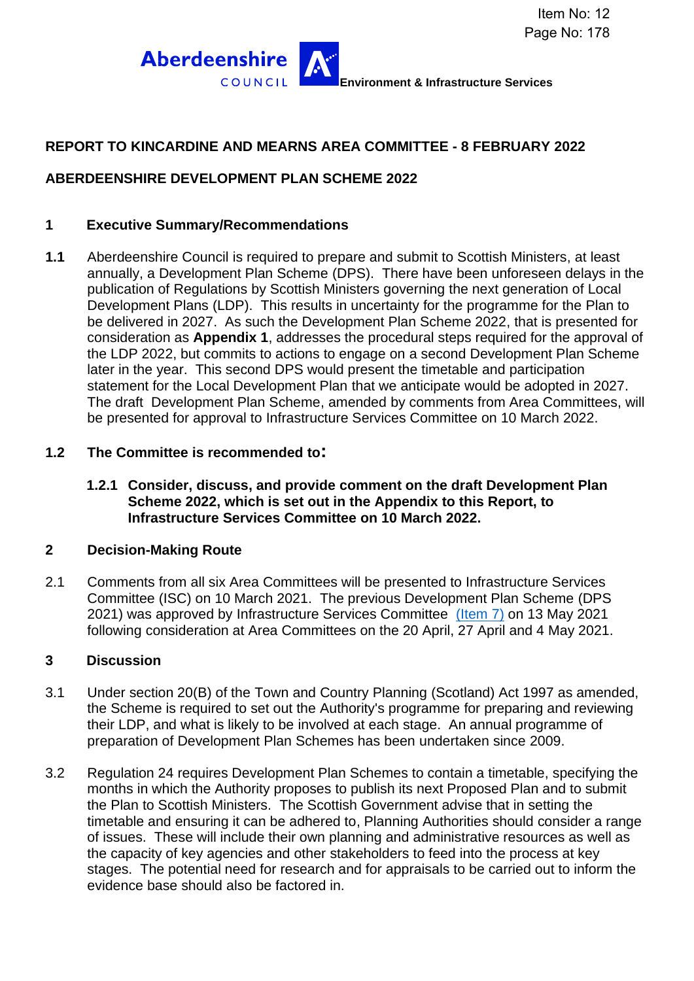

## **REPORT TO KINCARDINE AND MEARNS AREA COMMITTEE - 8 FEBRUARY 2022**

## **ABERDEENSHIRE DEVELOPMENT PLAN SCHEME 2022**

## **1 Executive Summary/Recommendations**

**1.1** Aberdeenshire Council is required to prepare and submit to Scottish Ministers, at least annually, a Development Plan Scheme (DPS). There have been unforeseen delays in the publication of Regulations by Scottish Ministers governing the next generation of Local Development Plans (LDP). This results in uncertainty for the programme for the Plan to be delivered in 2027. As such the Development Plan Scheme 2022, that is presented for consideration as **Appendix 1**, addresses the procedural steps required for the approval of the LDP 2022, but commits to actions to engage on a second Development Plan Scheme later in the year. This second DPS would present the timetable and participation statement for the Local Development Plan that we anticipate would be adopted in 2027. The draft Development Plan Scheme, amended by comments from Area Committees, will be presented for approval to Infrastructure Services Committee on 10 March 2022.

#### **1.2 The Committee is recommended to:**

**1.2.1 Consider, discuss, and provide comment on the draft Development Plan Scheme 2022, which is set out in the Appendix to this Report, to Infrastructure Services Committee on 10 March 2022.**

#### **2 Decision-Making Route**

2.1 Comments from all six Area Committees will be presented to Infrastructure Services Committee (ISC) on 10 March 2021. The previous Development Plan Scheme (DPS 2021) was approved by Infrastructure Services Committee [\(Item 7\)](https://committeesinternal/FunctionsPage.aspx?dsid=107449&action=GetFileFromDB) on 13 May 2021 following consideration at Area Committees on the 20 April, 27 April and 4 May 2021.

#### **3 Discussion**

- 3.1 Under section 20(B) of the Town and Country Planning (Scotland) Act 1997 as amended, the Scheme is required to set out the Authority's programme for preparing and reviewing their LDP, and what is likely to be involved at each stage. An annual programme of preparation of Development Plan Schemes has been undertaken since 2009.
- 3.2 Regulation 24 requires Development Plan Schemes to contain a timetable, specifying the months in which the Authority proposes to publish its next Proposed Plan and to submit the Plan to Scottish Ministers. The Scottish Government advise that in setting the timetable and ensuring it can be adhered to, Planning Authorities should consider a range of issues. These will include their own planning and administrative resources as well as the capacity of key agencies and other stakeholders to feed into the process at key stages. The potential need for research and for appraisals to be carried out to inform the evidence base should also be factored in.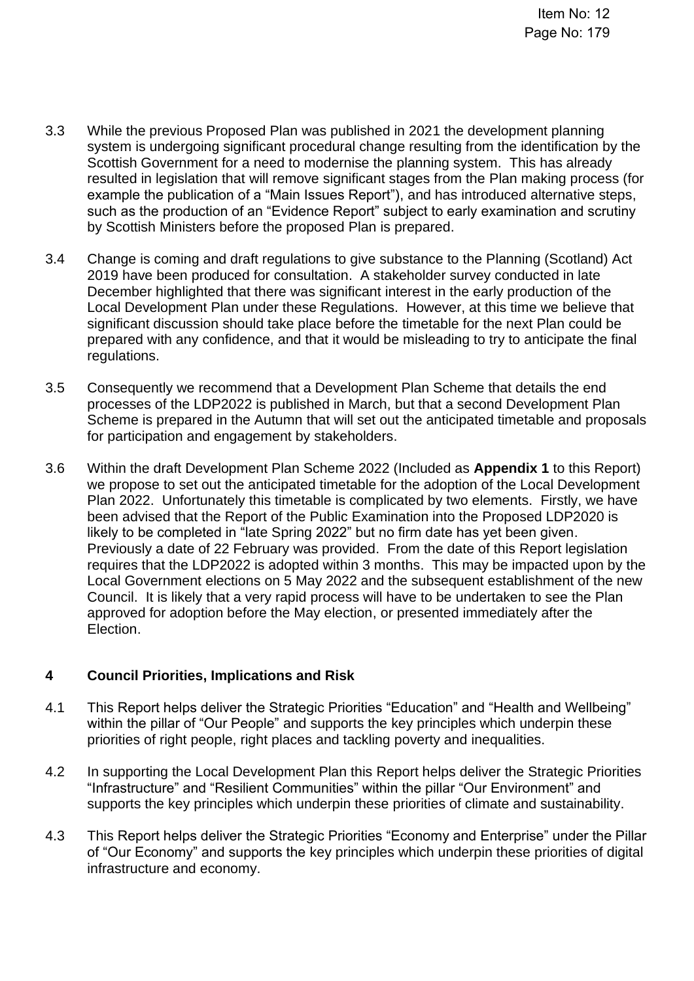- 3.3 While the previous Proposed Plan was published in 2021 the development planning system is undergoing significant procedural change resulting from the identification by the Scottish Government for a need to modernise the planning system. This has already resulted in legislation that will remove significant stages from the Plan making process (for example the publication of a "Main Issues Report"), and has introduced alternative steps, such as the production of an "Evidence Report" subject to early examination and scrutiny by Scottish Ministers before the proposed Plan is prepared.
- 3.4 Change is coming and draft regulations to give substance to the Planning (Scotland) Act 2019 have been produced for consultation. A stakeholder survey conducted in late December highlighted that there was significant interest in the early production of the Local Development Plan under these Regulations. However, at this time we believe that significant discussion should take place before the timetable for the next Plan could be prepared with any confidence, and that it would be misleading to try to anticipate the final regulations.
- 3.5 Consequently we recommend that a Development Plan Scheme that details the end processes of the LDP2022 is published in March, but that a second Development Plan Scheme is prepared in the Autumn that will set out the anticipated timetable and proposals for participation and engagement by stakeholders.
- 3.6 Within the draft Development Plan Scheme 2022 (Included as **Appendix 1** to this Report) we propose to set out the anticipated timetable for the adoption of the Local Development Plan 2022. Unfortunately this timetable is complicated by two elements. Firstly, we have been advised that the Report of the Public Examination into the Proposed LDP2020 is likely to be completed in "late Spring 2022" but no firm date has yet been given. Previously a date of 22 February was provided. From the date of this Report legislation requires that the LDP2022 is adopted within 3 months. This may be impacted upon by the Local Government elections on 5 May 2022 and the subsequent establishment of the new Council. It is likely that a very rapid process will have to be undertaken to see the Plan approved for adoption before the May election, or presented immediately after the Election.

## **4 Council Priorities, Implications and Risk**

- 4.1 This Report helps deliver the Strategic Priorities "Education" and "Health and Wellbeing" within the pillar of "Our People" and supports the key principles which underpin these priorities of right people, right places and tackling poverty and inequalities.
- 4.2 In supporting the Local Development Plan this Report helps deliver the Strategic Priorities "Infrastructure" and "Resilient Communities" within the pillar "Our Environment" and supports the key principles which underpin these priorities of climate and sustainability.
- 4.3 This Report helps deliver the Strategic Priorities "Economy and Enterprise" under the Pillar of "Our Economy" and supports the key principles which underpin these priorities of digital infrastructure and economy.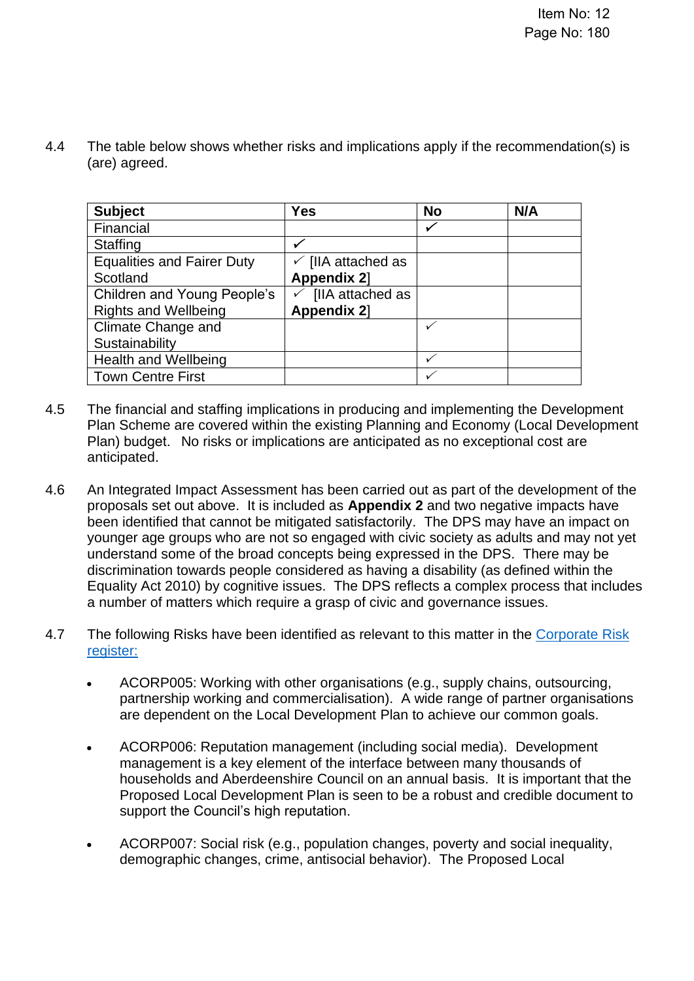4.4 The table below shows whether risks and implications apply if the recommendation(s) is (are) agreed.

| <b>Subject</b>                    | <b>Yes</b>                    | <b>No</b> | N/A |
|-----------------------------------|-------------------------------|-----------|-----|
| Financial                         |                               |           |     |
| <b>Staffing</b>                   |                               |           |     |
| <b>Equalities and Fairer Duty</b> | $\checkmark$ [IIA attached as |           |     |
| Scotland                          | <b>Appendix 2]</b>            |           |     |
| Children and Young People's       | [IIA attached as              |           |     |
| <b>Rights and Wellbeing</b>       | <b>Appendix 2]</b>            |           |     |
| Climate Change and                |                               |           |     |
| Sustainability                    |                               |           |     |
| <b>Health and Wellbeing</b>       |                               |           |     |
| <b>Town Centre First</b>          |                               |           |     |

- 4.5 The financial and staffing implications in producing and implementing the Development Plan Scheme are covered within the existing Planning and Economy (Local Development Plan) budget.  No risks or implications are anticipated as no exceptional cost are anticipated.
- 4.6 An Integrated Impact Assessment has been carried out as part of the development of the proposals set out above. It is included as **Appendix 2** and two negative impacts have been identified that cannot be mitigated satisfactorily. The DPS may have an impact on younger age groups who are not so engaged with civic society as adults and may not yet understand some of the broad concepts being expressed in the DPS. There may be discrimination towards people considered as having a disability (as defined within the Equality Act 2010) by cognitive issues. The DPS reflects a complex process that includes a number of matters which require a grasp of civic and governance issues.
- 4.7 The following Risks have been identified as relevant to this matter in the [Corporate](https://aberdeenshire.sharepoint.com/sites/EvidenceBank/Shared%20Documents/General/3.%20Performance/Links%20from%20Narrative/3.5%20External%20Scruitiny%20and%20Risk/34.%20Aberdeenshire%20Corporate%20Risk%20Register.pdf#search=corporate%20risk%20register) Risk [register:](https://aberdeenshire.sharepoint.com/sites/EvidenceBank/Shared%20Documents/General/3.%20Performance/Links%20from%20Narrative/3.5%20External%20Scruitiny%20and%20Risk/34.%20Aberdeenshire%20Corporate%20Risk%20Register.pdf#search=corporate%20risk%20register)
	- ACORP005: Working with other organisations (e.g., supply chains, outsourcing, partnership working and commercialisation). A wide range of partner organisations are dependent on the Local Development Plan to achieve our common goals.
	- ACORP006: Reputation management (including social media). Development management is a key element of the interface between many thousands of households and Aberdeenshire Council on an annual basis. It is important that the Proposed Local Development Plan is seen to be a robust and credible document to support the Council's high reputation.
	- ACORP007: Social risk (e.g., population changes, poverty and social inequality, demographic changes, crime, antisocial behavior). The Proposed Local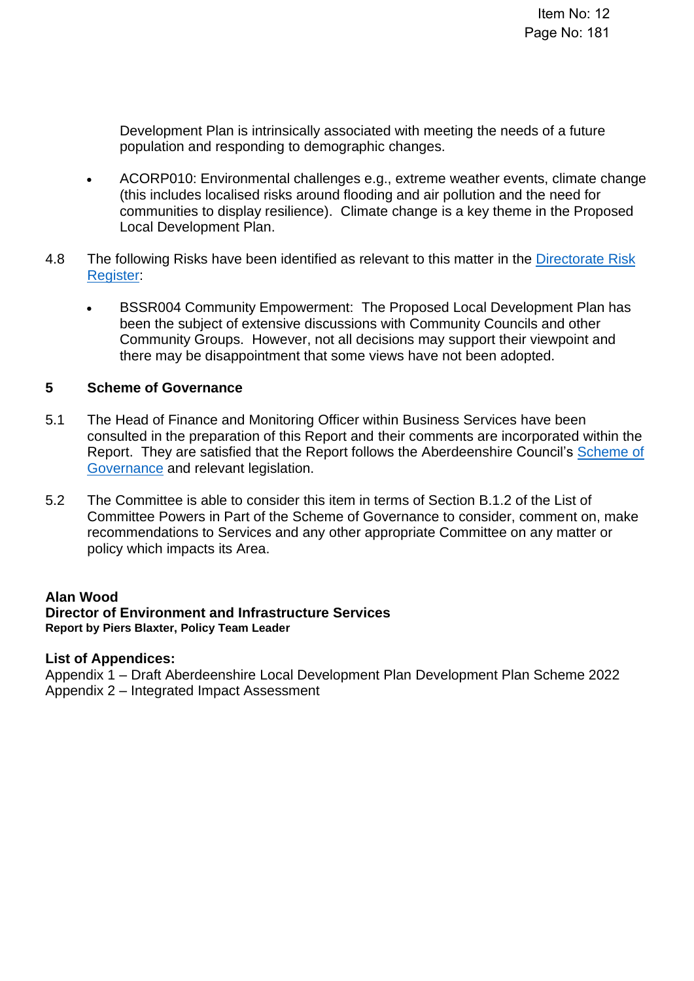Development Plan is intrinsically associated with meeting the needs of a future population and responding to demographic changes.

- ACORP010: Environmental challenges e.g., extreme weather events, climate change (this includes localised risks around flooding and air pollution and the need for communities to display resilience). Climate change is a key theme in the Proposed Local Development Plan.
- 4.8 The following Risks have been identified as relevant to this matter in the [Directorate](https://aberdeenshire.sharepoint.com/:w:/r/sites/Arcadia/services/_layouts/15/Doc.aspx?sourcedoc=%7BA8F02363-8E63-4592-BA30-FE89DE765E51%7D&file=IS%20Directorate%20Plan%20Final%202021-02-17%20(V9).docx&action=default&mobileredirect=true&DefaultItemOpen=1) Risk [Register:](https://aberdeenshire.sharepoint.com/:w:/r/sites/Arcadia/services/_layouts/15/Doc.aspx?sourcedoc=%7BA8F02363-8E63-4592-BA30-FE89DE765E51%7D&file=IS%20Directorate%20Plan%20Final%202021-02-17%20(V9).docx&action=default&mobileredirect=true&DefaultItemOpen=1)
	- BSSR004 Community Empowerment: The Proposed Local Development Plan has been the subject of extensive discussions with Community Councils and other Community Groups. However, not all decisions may support their viewpoint and there may be disappointment that some views have not been adopted.

## **5 Scheme of Governance**

- 5.1 The Head of Finance and Monitoring Officer within Business Services have been consulted in the preparation of this Report and their comments are incorporated within the Report. They are satisfied that the Report follows the Aberdeenshire Council's [Scheme of](https://aberdeenshire.sharepoint.com/sites/Arcadia/services/Pages/Business%20Services/Legal%20and%20Governance/Governance/Scheme-of-Governance-.aspx)  [Governance](https://aberdeenshire.sharepoint.com/sites/Arcadia/services/Pages/Business%20Services/Legal%20and%20Governance/Governance/Scheme-of-Governance-.aspx) and relevant legislation.
- 5.2 The Committee is able to consider this item in terms of Section B.1.2 of the List of Committee Powers in Part of the Scheme of Governance to consider, comment on, make recommendations to Services and any other appropriate Committee on any matter or policy which impacts its Area.

## **Alan Wood**

#### **Director of Environment and Infrastructure Services Report by Piers Blaxter, Policy Team Leader**

#### **List of Appendices:**

Appendix 1 – Draft Aberdeenshire Local Development Plan Development Plan Scheme 2022 Appendix 2 – Integrated Impact Assessment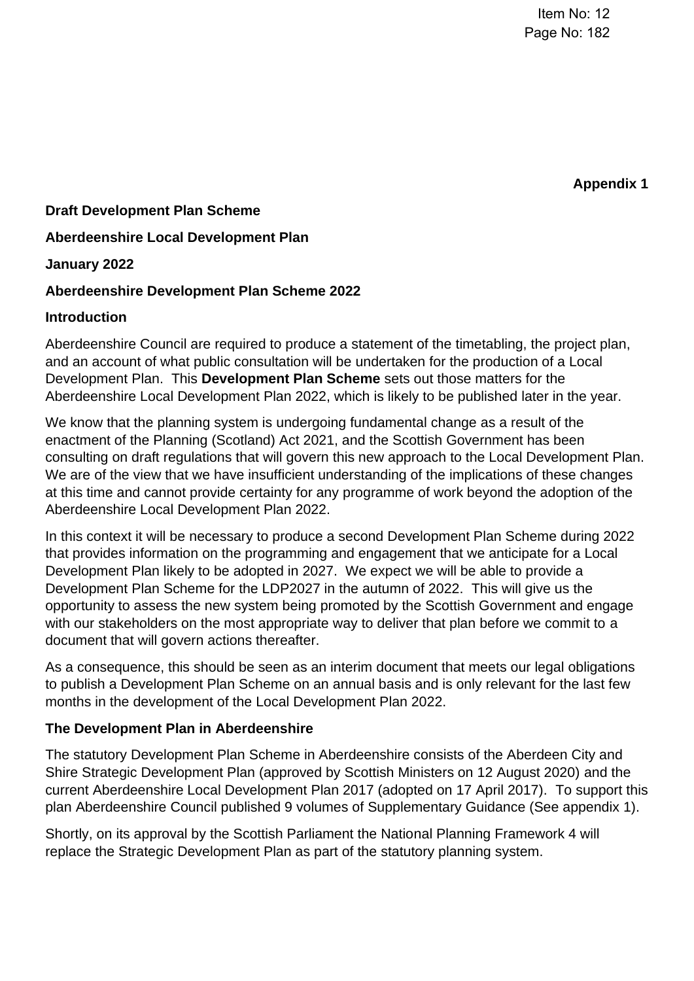**Appendix 1**

## **Draft Development Plan Scheme**

## **Aberdeenshire Local Development Plan**

## **January 2022**

## **Aberdeenshire Development Plan Scheme 2022**

## **Introduction**

Aberdeenshire Council are required to produce a statement of the timetabling, the project plan, and an account of what public consultation will be undertaken for the production of a Local Development Plan. This **Development Plan Scheme** sets out those matters for the Aberdeenshire Local Development Plan 2022, which is likely to be published later in the year.

We know that the planning system is undergoing fundamental change as a result of the enactment of the Planning (Scotland) Act 2021, and the Scottish Government has been consulting on draft regulations that will govern this new approach to the Local Development Plan. We are of the view that we have insufficient understanding of the implications of these changes at this time and cannot provide certainty for any programme of work beyond the adoption of the Aberdeenshire Local Development Plan 2022.

In this context it will be necessary to produce a second Development Plan Scheme during 2022 that provides information on the programming and engagement that we anticipate for a Local Development Plan likely to be adopted in 2027. We expect we will be able to provide a Development Plan Scheme for the LDP2027 in the autumn of 2022. This will give us the opportunity to assess the new system being promoted by the Scottish Government and engage with our stakeholders on the most appropriate way to deliver that plan before we commit to a document that will govern actions thereafter.

As a consequence, this should be seen as an interim document that meets our legal obligations to publish a Development Plan Scheme on an annual basis and is only relevant for the last few months in the development of the Local Development Plan 2022.

## **The Development Plan in Aberdeenshire**

The statutory Development Plan Scheme in Aberdeenshire consists of the Aberdeen City and Shire Strategic Development Plan (approved by Scottish Ministers on 12 August 2020) and the current Aberdeenshire Local Development Plan 2017 (adopted on 17 April 2017). To support this plan Aberdeenshire Council published 9 volumes of Supplementary Guidance (See appendix 1).

Shortly, on its approval by the Scottish Parliament the National Planning Framework 4 will replace the Strategic Development Plan as part of the statutory planning system.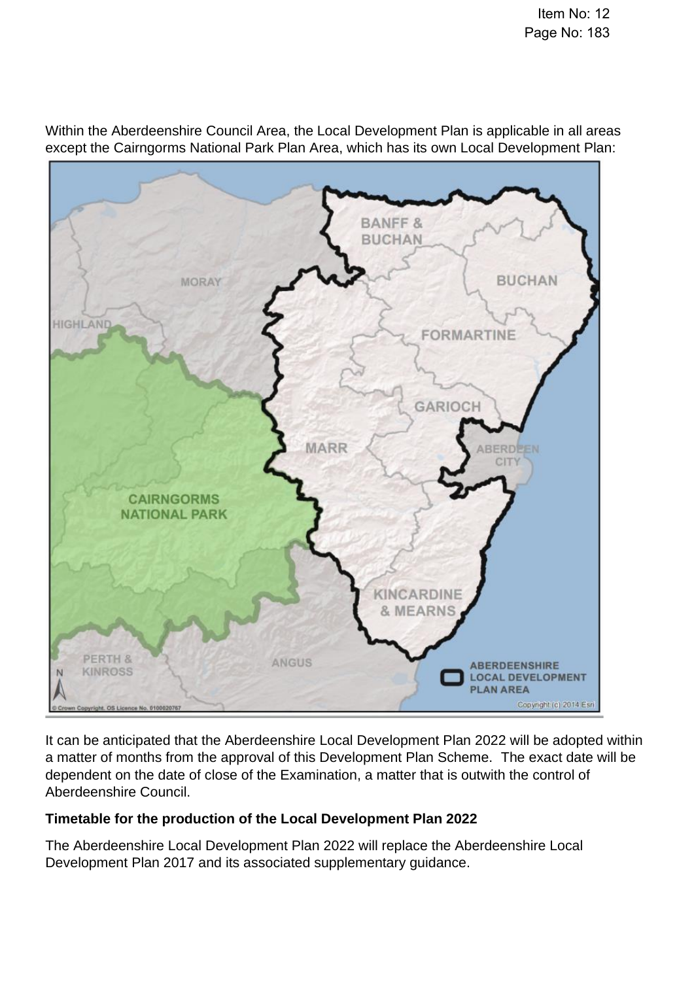

Within the Aberdeenshire Council Area, the Local Development Plan is applicable in all areas except the Cairngorms National Park Plan Area, which has its own Local Development Plan:

It can be anticipated that the Aberdeenshire Local Development Plan 2022 will be adopted within a matter of months from the approval of this Development Plan Scheme. The exact date will be dependent on the date of close of the Examination, a matter that is outwith the control of Aberdeenshire Council.

## **Timetable for the production of the Local Development Plan 2022**

The Aberdeenshire Local Development Plan 2022 will replace the Aberdeenshire Local Development Plan 2017 and its associated supplementary guidance.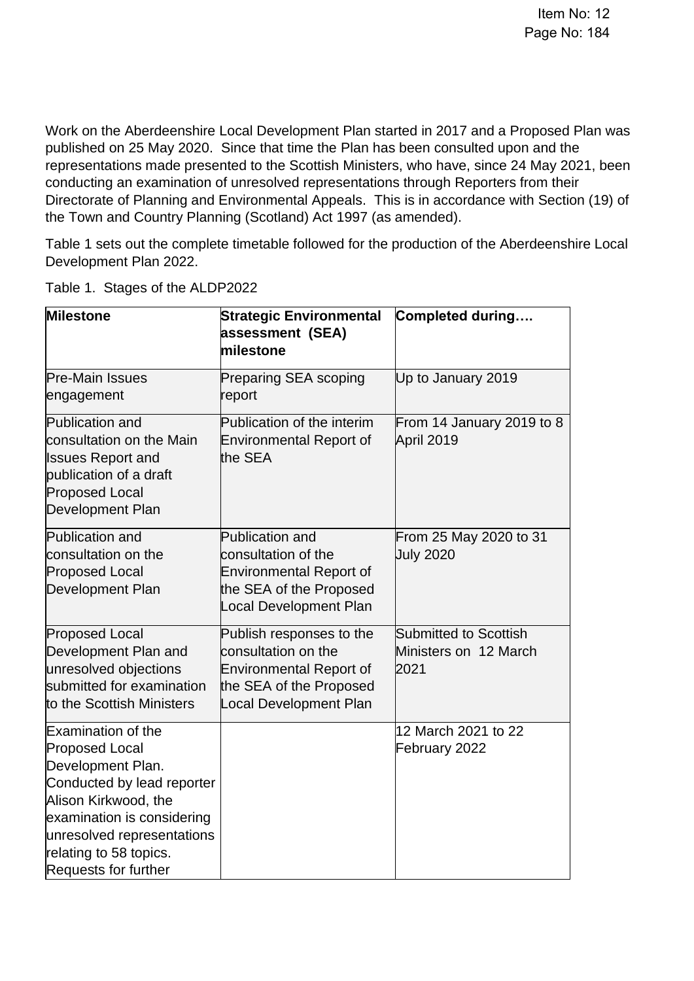Work on the Aberdeenshire Local Development Plan started in 2017 and a Proposed Plan was published on 25 May 2020. Since that time the Plan has been consulted upon and the representations made presented to the Scottish Ministers, who have, since 24 May 2021, been conducting an examination of unresolved representations through Reporters from their Directorate of Planning and Environmental Appeals. This is in accordance with Section (19) of the Town and Country Planning (Scotland) Act 1997 (as amended).

Table 1 sets out the complete timetable followed for the production of the Aberdeenshire Local Development Plan 2022.

| <b>Milestone</b>                                                                                                                                                                                                                            | <b>Strategic Environmental</b><br>assessment (SEA)<br>milestone                                                                               | Completed during                                              |
|---------------------------------------------------------------------------------------------------------------------------------------------------------------------------------------------------------------------------------------------|-----------------------------------------------------------------------------------------------------------------------------------------------|---------------------------------------------------------------|
| <b>Pre-Main Issues</b><br>engagement                                                                                                                                                                                                        | <b>Preparing SEA scoping</b><br>report                                                                                                        | Up to January 2019                                            |
| Publication and<br>consultation on the Main<br><b>Issues Report and</b><br>publication of a draft<br><b>Proposed Local</b><br><b>Development Plan</b>                                                                                       | Publication of the interim<br><b>Environmental Report of</b><br>the SEA                                                                       | From 14 January 2019 to 8<br>April 2019                       |
| Publication and<br>consultation on the<br><b>Proposed Local</b><br><b>Development Plan</b>                                                                                                                                                  | Publication and<br>consultation of the<br><b>Environmental Report of</b><br>the SEA of the Proposed<br>Local Development Plan                 | From 25 May 2020 to 31<br><b>July 2020</b>                    |
| <b>Proposed Local</b><br>Development Plan and<br>unresolved objections<br>submitted for examination<br>to the Scottish Ministers                                                                                                            | Publish responses to the<br>consultation on the<br><b>Environmental Report of</b><br>the SEA of the Proposed<br><b>Local Development Plan</b> | <b>Submitted to Scottish</b><br>Ministers on 12 March<br>2021 |
| <b>Examination of the</b><br><b>Proposed Local</b><br>Development Plan.<br>Conducted by lead reporter<br>Alison Kirkwood, the<br>examination is considering<br>unresolved representations<br>relating to 58 topics.<br>Requests for further |                                                                                                                                               | 12 March 2021 to 22<br>February 2022                          |

Table 1. Stages of the ALDP2022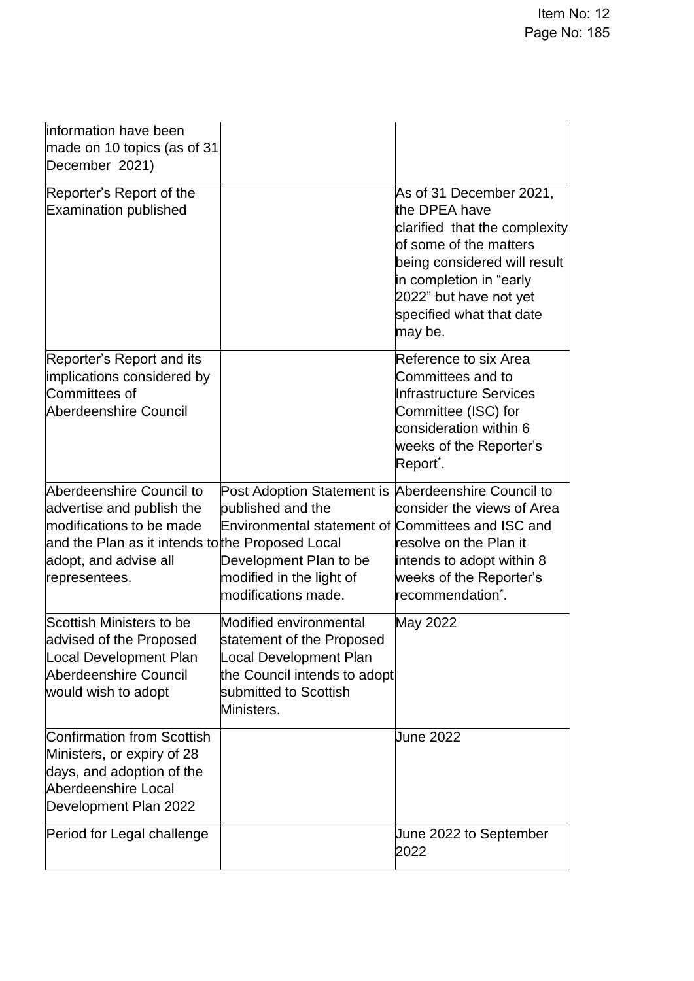| information have been<br>made on 10 topics (as of 31<br>December 2021)                                                                                                          |                                                                                                                                                                                   |                                                                                                                                                                                                                                 |
|---------------------------------------------------------------------------------------------------------------------------------------------------------------------------------|-----------------------------------------------------------------------------------------------------------------------------------------------------------------------------------|---------------------------------------------------------------------------------------------------------------------------------------------------------------------------------------------------------------------------------|
| Reporter's Report of the<br><b>Examination published</b>                                                                                                                        |                                                                                                                                                                                   | As of 31 December 2021,<br>the DPEA have<br>clarified that the complexity<br>of some of the matters<br>being considered will result<br>in completion in "early<br>2022" but have not yet<br>specified what that date<br>may be. |
| Reporter's Report and its<br>implications considered by<br>Committees of<br>Aberdeenshire Council                                                                               |                                                                                                                                                                                   | Reference to six Area<br>Committees and to<br>Infrastructure Services<br>Committee (ISC) for<br>consideration within 6<br>weeks of the Reporter's<br>Report <sup>*</sup> .                                                      |
| Aberdeenshire Council to<br>advertise and publish the<br>modifications to be made<br>and the Plan as it intends to the Proposed Local<br>adopt, and advise all<br>representees. | Post Adoption Statement is<br>published and the<br>Environmental statement of Committees and ISC and<br>Development Plan to be<br>modified in the light of<br>modifications made. | Aberdeenshire Council to<br>consider the views of Area<br>resolve on the Plan it<br>intends to adopt within 8<br>weeks of the Reporter's<br>recommendation <sup>*</sup> .                                                       |
| Scottish Ministers to be<br>advised of the Proposed<br>Local Development Plan<br>Aberdeenshire Council<br>would wish to adopt                                                   | Modified environmental<br>statement of the Proposed<br>Local Development Plan<br>the Council intends to adopt<br>submitted to Scottish<br>Ministers.                              | May 2022                                                                                                                                                                                                                        |
| Confirmation from Scottish<br>Ministers, or expiry of 28<br>days, and adoption of the<br>Aberdeenshire Local<br>Development Plan 2022                                           |                                                                                                                                                                                   | <b>June 2022</b>                                                                                                                                                                                                                |
| Period for Legal challenge                                                                                                                                                      |                                                                                                                                                                                   | Uune 2022 to September<br>2022                                                                                                                                                                                                  |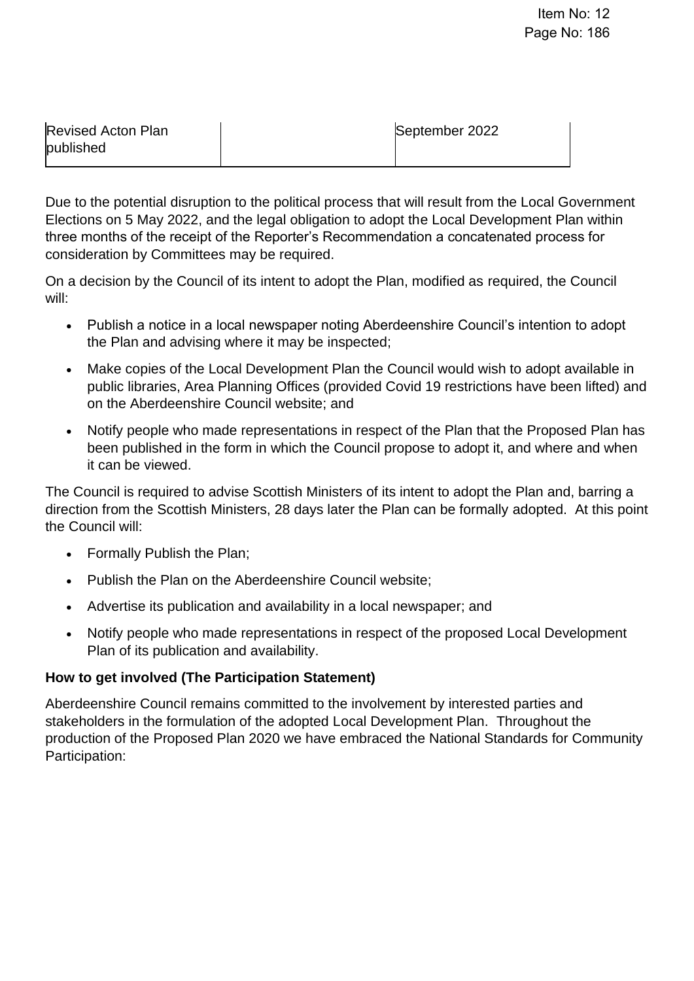| Revised Acton Plan | September 2022 |
|--------------------|----------------|
| published          |                |

Due to the potential disruption to the political process that will result from the Local Government Elections on 5 May 2022, and the legal obligation to adopt the Local Development Plan within three months of the receipt of the Reporter's Recommendation a concatenated process for consideration by Committees may be required.

On a decision by the Council of its intent to adopt the Plan, modified as required, the Council will:

- Publish a notice in a local newspaper noting Aberdeenshire Council's intention to adopt the Plan and advising where it may be inspected;
- Make copies of the Local Development Plan the Council would wish to adopt available in public libraries, Area Planning Offices (provided Covid 19 restrictions have been lifted) and on the Aberdeenshire Council website; and
- Notify people who made representations in respect of the Plan that the Proposed Plan has been published in the form in which the Council propose to adopt it, and where and when it can be viewed.

The Council is required to advise Scottish Ministers of its intent to adopt the Plan and, barring a direction from the Scottish Ministers, 28 days later the Plan can be formally adopted. At this point the Council will:

- Formally Publish the Plan;
- Publish the Plan on the Aberdeenshire Council website;
- Advertise its publication and availability in a local newspaper; and
- Notify people who made representations in respect of the proposed Local Development Plan of its publication and availability.

## **How to get involved (The Participation Statement)**

Aberdeenshire Council remains committed to the involvement by interested parties and stakeholders in the formulation of the adopted Local Development Plan. Throughout the production of the Proposed Plan 2020 we have embraced the National Standards for Community Participation: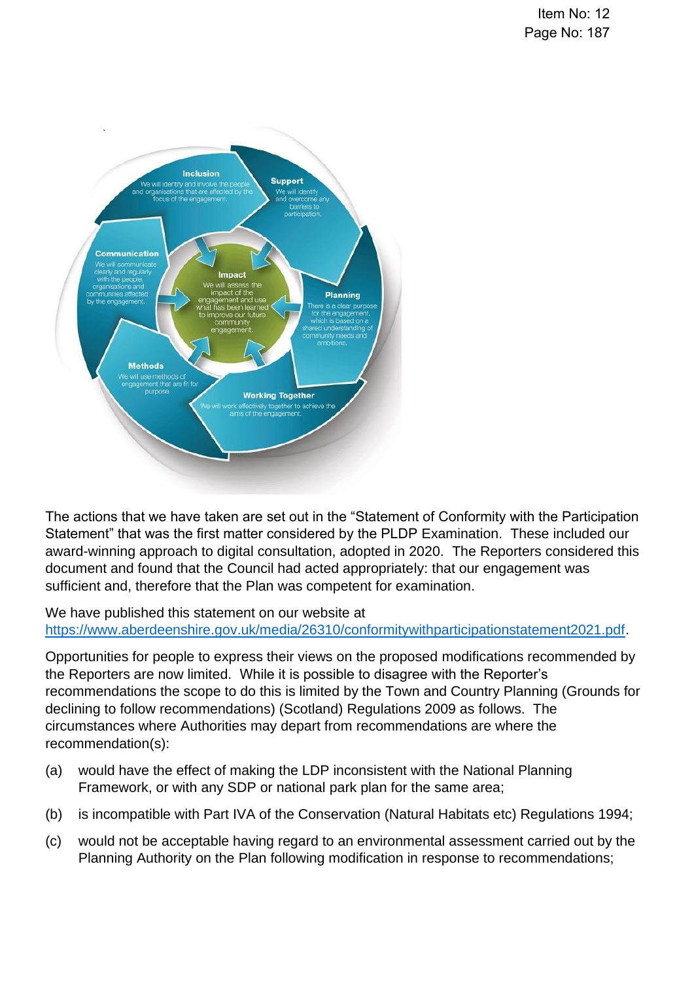

The actions that we have taken are set out in the "Statement of Conformity with the Participation Statement" that was the first matter considered by the PLDP Examination. These included our award-winning approach to digital consultation, adopted in 2020. The Reporters considered this document and found that the Council had acted appropriately: that our engagement was sufficient and, therefore that the Plan was competent for examination.

We have published this statement on our website at [https://www.aberdeenshire.gov.uk/media/26310/conformitywithparticipationstatement2021.pdf.](https://www.aberdeenshire.gov.uk/media/26310/conformitywithparticipationstatement2021.pdf)

Opportunities for people to express their views on the proposed modifications recommended by the Reporters are now limited. While it is possible to disagree with the Reporter's recommendations the scope to do this is limited by the Town and Country Planning (Grounds for declining to follow recommendations) (Scotland) Regulations 2009 as follows. The circumstances where Authorities may depart from recommendations are where the recommendation(s):

- (a) would have the effect of making the LDP inconsistent with the National Planning Framework, or with any SDP or national park plan for the same area;
- (b) is incompatible with Part IVA of the Conservation (Natural Habitats etc) Regulations 1994;
- (c) would not be acceptable having regard to an environmental assessment carried out by the Planning Authority on the Plan following modification in response to recommendations;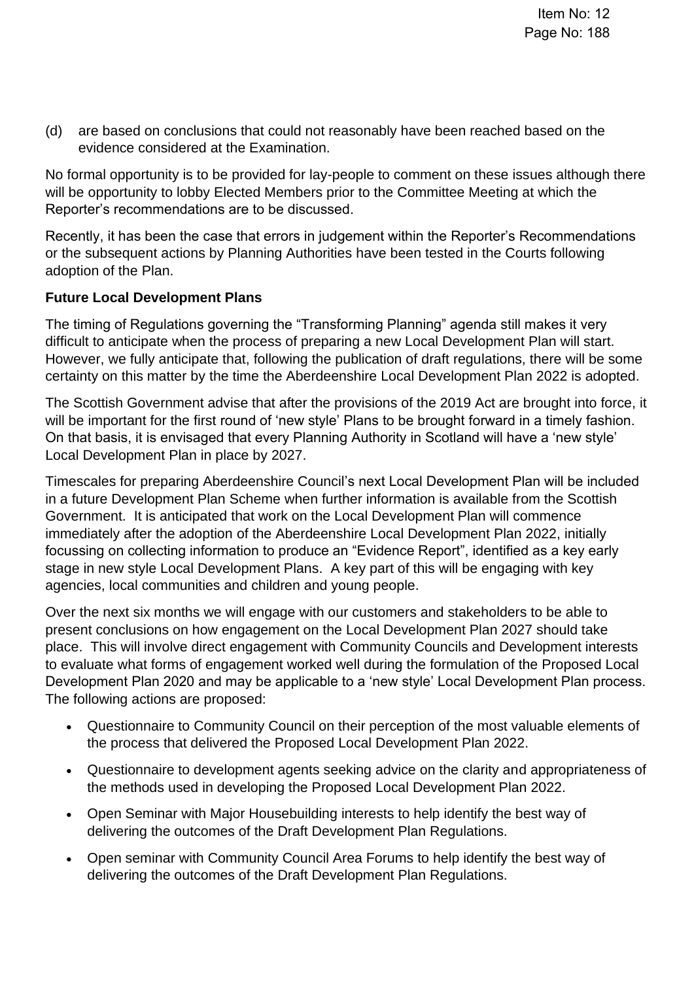(d) are based on conclusions that could not reasonably have been reached based on the evidence considered at the Examination.

No formal opportunity is to be provided for lay-people to comment on these issues although there will be opportunity to lobby Elected Members prior to the Committee Meeting at which the Reporter's recommendations are to be discussed.

Recently, it has been the case that errors in judgement within the Reporter's Recommendations or the subsequent actions by Planning Authorities have been tested in the Courts following adoption of the Plan.

## **Future Local Development Plans**

The timing of Regulations governing the "Transforming Planning" agenda still makes it very difficult to anticipate when the process of preparing a new Local Development Plan will start. However, we fully anticipate that, following the publication of draft regulations, there will be some certainty on this matter by the time the Aberdeenshire Local Development Plan 2022 is adopted.

The Scottish Government advise that after the provisions of the 2019 Act are brought into force, it will be important for the first round of 'new style' Plans to be brought forward in a timely fashion. On that basis, it is envisaged that every Planning Authority in Scotland will have a 'new style' Local Development Plan in place by 2027.

Timescales for preparing Aberdeenshire Council's next Local Development Plan will be included in a future Development Plan Scheme when further information is available from the Scottish Government. It is anticipated that work on the Local Development Plan will commence immediately after the adoption of the Aberdeenshire Local Development Plan 2022, initially focussing on collecting information to produce an "Evidence Report", identified as a key early stage in new style Local Development Plans. A key part of this will be engaging with key agencies, local communities and children and young people.

Over the next six months we will engage with our customers and stakeholders to be able to present conclusions on how engagement on the Local Development Plan 2027 should take place. This will involve direct engagement with Community Councils and Development interests to evaluate what forms of engagement worked well during the formulation of the Proposed Local Development Plan 2020 and may be applicable to a 'new style' Local Development Plan process. The following actions are proposed:

- Questionnaire to Community Council on their perception of the most valuable elements of the process that delivered the Proposed Local Development Plan 2022.
- Questionnaire to development agents seeking advice on the clarity and appropriateness of the methods used in developing the Proposed Local Development Plan 2022.
- Open Seminar with Major Housebuilding interests to help identify the best way of delivering the outcomes of the Draft Development Plan Regulations.
- Open seminar with Community Council Area Forums to help identify the best way of delivering the outcomes of the Draft Development Plan Regulations.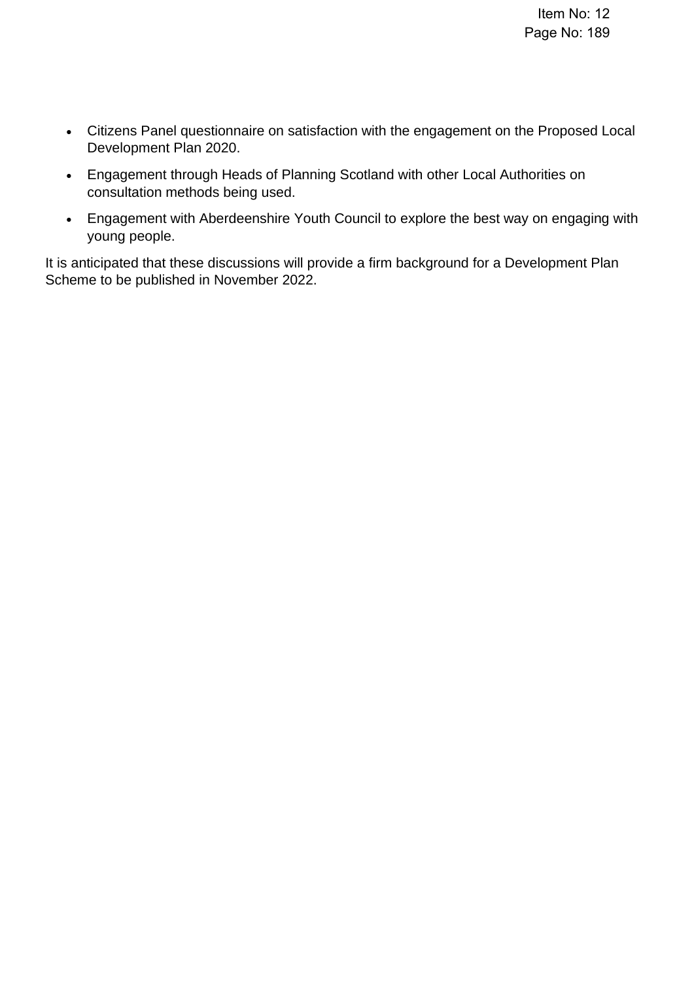- Citizens Panel questionnaire on satisfaction with the engagement on the Proposed Local Development Plan 2020.
- Engagement through Heads of Planning Scotland with other Local Authorities on consultation methods being used.
- Engagement with Aberdeenshire Youth Council to explore the best way on engaging with young people.

It is anticipated that these discussions will provide a firm background for a Development Plan Scheme to be published in November 2022.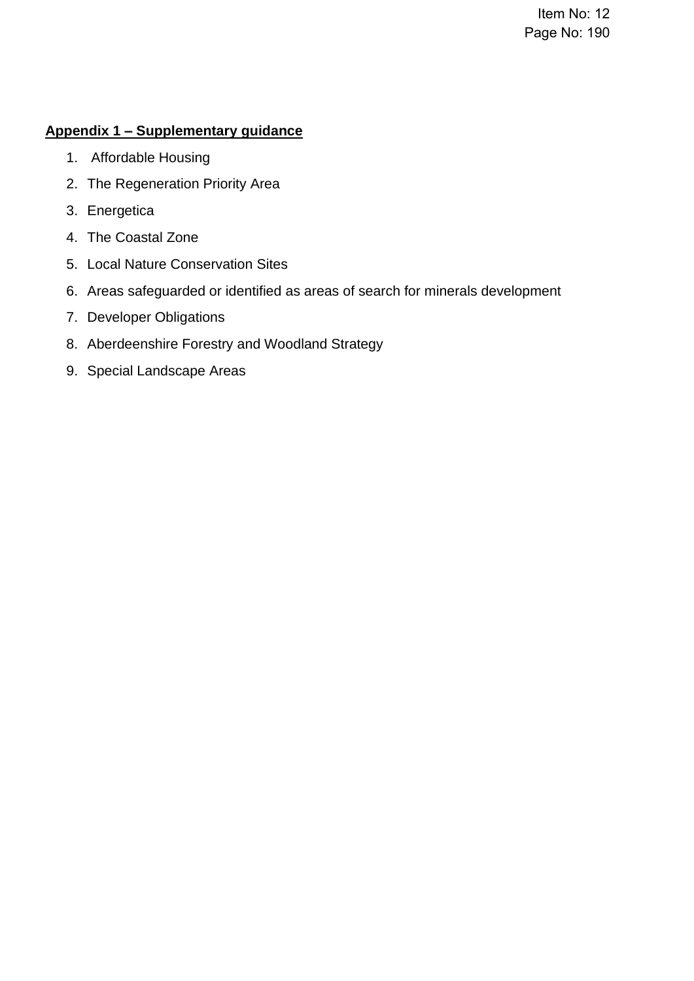## **Appendix 1 – Supplementary guidance**

- 1. Affordable Housing
- 2. The Regeneration Priority Area
- 3. Energetica
- 4. The Coastal Zone
- 5. Local Nature Conservation Sites
- 6. Areas safeguarded or identified as areas of search for minerals development
- 7. Developer Obligations
- 8. Aberdeenshire Forestry and Woodland Strategy
- 9. Special Landscape Areas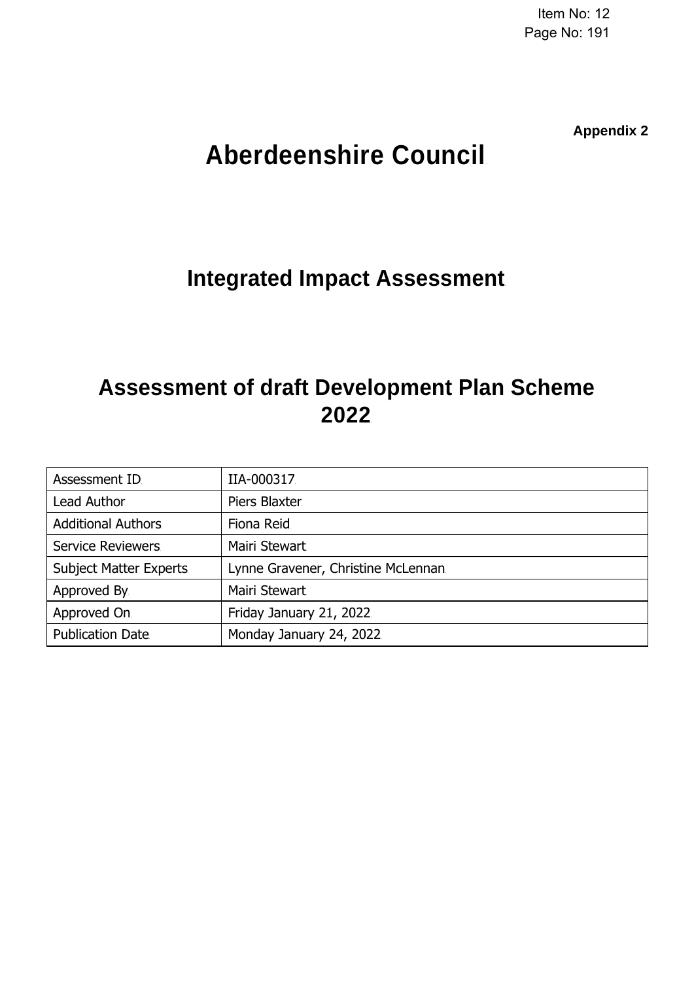**Appendix 2**

# **Aberdeenshire Council.**

## **Integrated Impact Assessment.**

## **Assessment of draft Development Plan Scheme 2022.**

| Assessment ID                 | IIA-000317                          |
|-------------------------------|-------------------------------------|
| Lead Author                   | Piers Blaxter                       |
| <b>Additional Authors</b>     | Fiona Reid                          |
| Service Reviewers             | Mairi Stewart                       |
| <b>Subject Matter Experts</b> | Lynne Gravener, Christine McLennan. |
| Approved By                   | Mairi Stewart                       |
| Approved On                   | Friday January 21, 2022             |
| <b>Publication Date</b>       | Monday January 24, 2022             |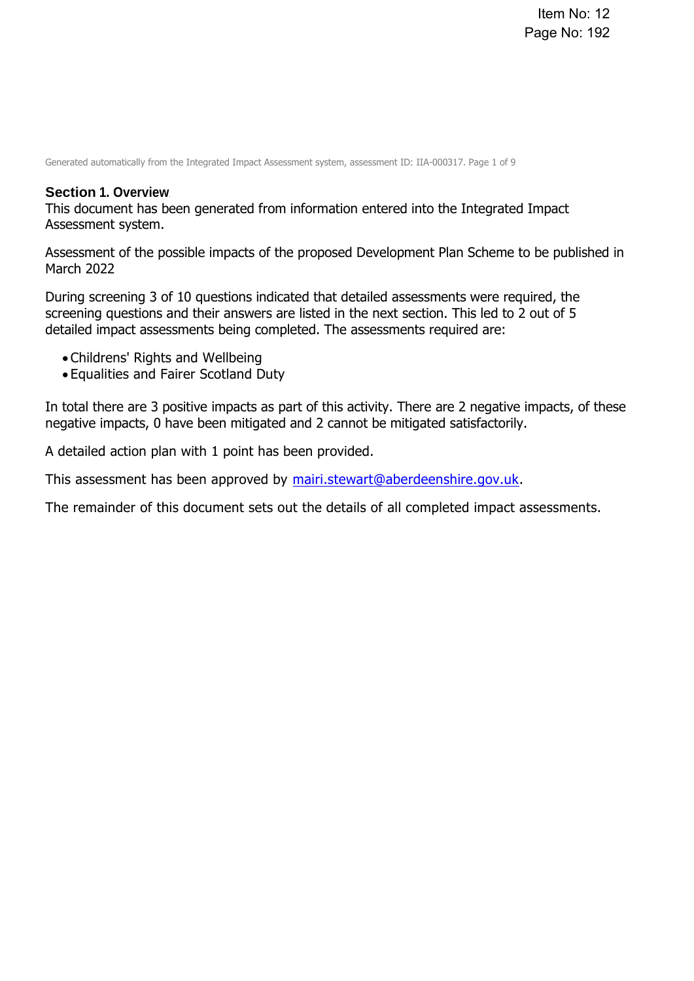Generated automatically from the Integrated Impact Assessment system, assessment ID: IIA-000317. Page 1 of 9

#### **Section 1. Overview.**

This document has been generated from information entered into the Integrated Impact Assessment system.

Assessment of the possible impacts of the proposed Development Plan Scheme to be published in March 2022

During screening 3 of 10 questions indicated that detailed assessments were required, the screening questions and their answers are listed in the next section. This led to 2 out of 5 detailed impact assessments being completed. The assessments required are:

- Childrens' Rights and Wellbeing
- Equalities and Fairer Scotland Duty

In total there are 3 positive impacts as part of this activity. There are 2 negative impacts, of these negative impacts, 0 have been mitigated and 2 cannot be mitigated satisfactorily.

A detailed action plan with 1 point has been provided.

This assessment has been approved by [mairi.stewart@aberdeenshire.gov.uk.](mailto:mairi.stewart@aberdeenshire.gov.uk)

The remainder of this document sets out the details of all completed impact assessments.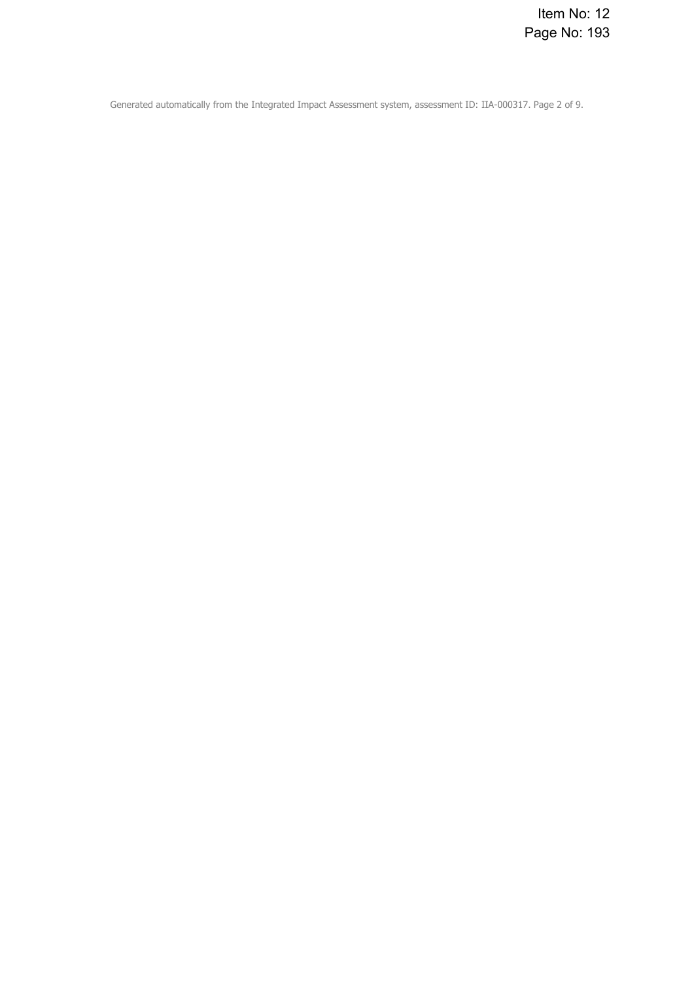Generated automatically from the Integrated Impact Assessment system, assessment ID: IIA-000317. Page 2 of 9.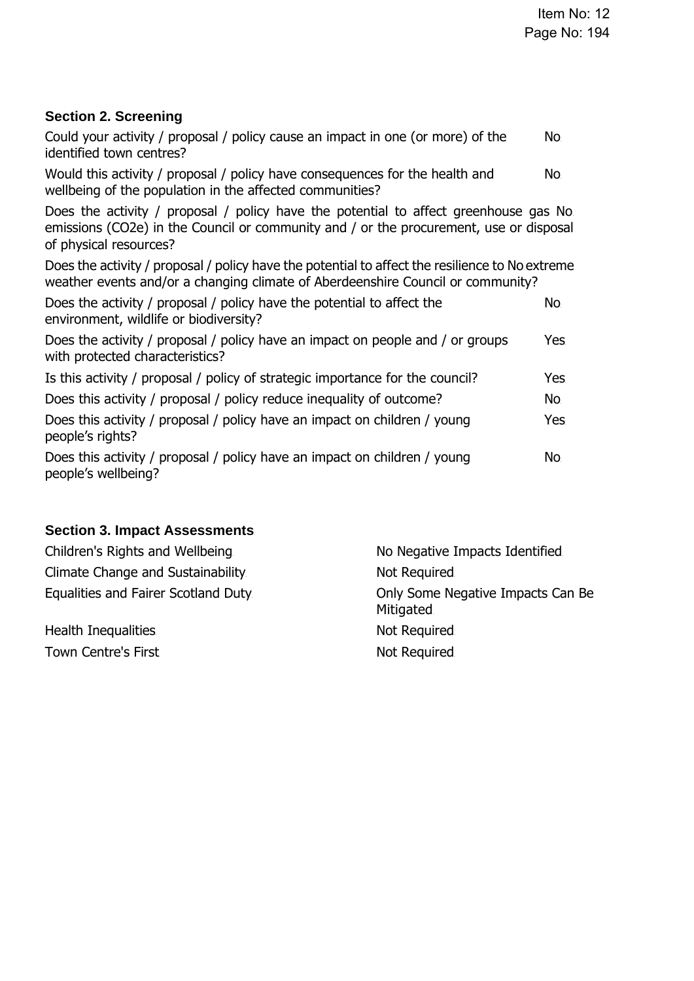## **Section 2. Screening**.

| Could your activity / proposal / policy cause an impact in one (or more) of the<br>identified town centres?                                                                                              | No.  |
|----------------------------------------------------------------------------------------------------------------------------------------------------------------------------------------------------------|------|
| Would this activity / proposal / policy have consequences for the health and<br>wellbeing of the population in the affected communities?                                                                 | No.  |
| Does the activity / proposal / policy have the potential to affect greenhouse gas No<br>emissions (CO2e) in the Council or community and / or the procurement, use or disposal<br>of physical resources? |      |
| Does the activity / proposal / policy have the potential to affect the resilience to No extreme<br>weather events and/or a changing climate of Aberdeenshire Council or community?                       |      |
| Does the activity / proposal / policy have the potential to affect the<br>environment, wildlife or biodiversity?                                                                                         | No.  |
| Does the activity / proposal / policy have an impact on people and / or groups<br>with protected characteristics?                                                                                        | Yes. |
| Is this activity / proposal / policy of strategic importance for the council?                                                                                                                            | Yes. |
| Does this activity / proposal / policy reduce inequality of outcome?                                                                                                                                     | No.  |
| Does this activity / proposal / policy have an impact on children / young<br>people's rights?                                                                                                            | Yes. |
| Does this activity / proposal / policy have an impact on children / young<br>people's wellbeing?                                                                                                         | No.  |

## **Section 3. Impact Assessments**.

| Children's Rights and Wellbeing.     | No Negative Impacts Identified                 |
|--------------------------------------|------------------------------------------------|
| Climate Change and Sustainability.   | Not Required                                   |
| Equalities and Fairer Scotland Duty. | Only Some Negative Impacts Can Be<br>Mitigated |
| Health Inequalities                  | Not Required                                   |
| <b>Town Centre's First</b>           | Not Required                                   |
|                                      |                                                |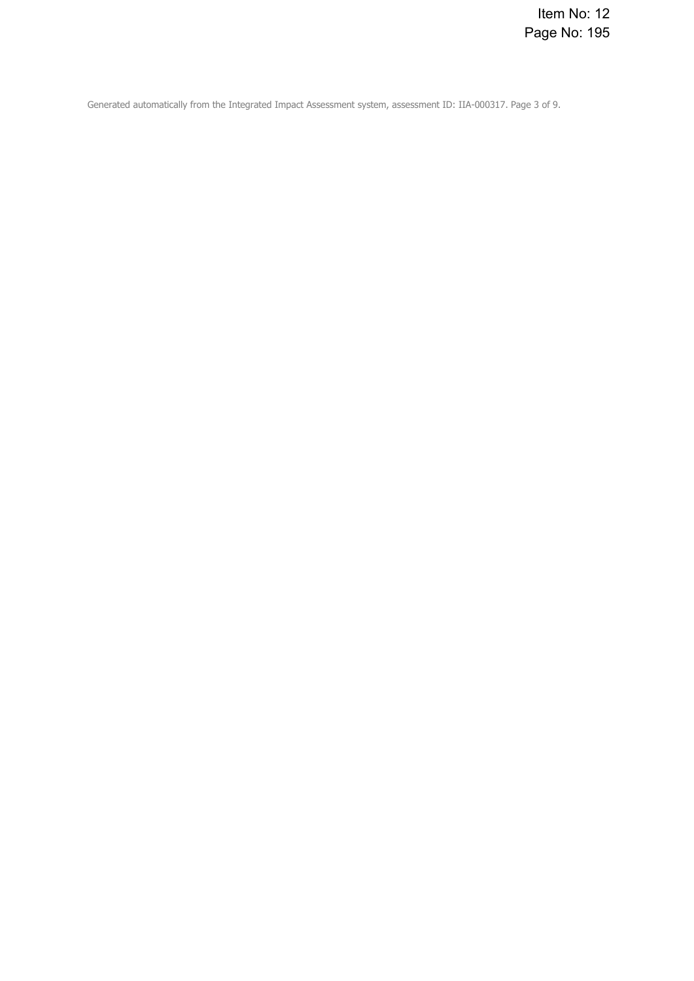Generated automatically from the Integrated Impact Assessment system, assessment ID: IIA-000317. Page 3 of 9.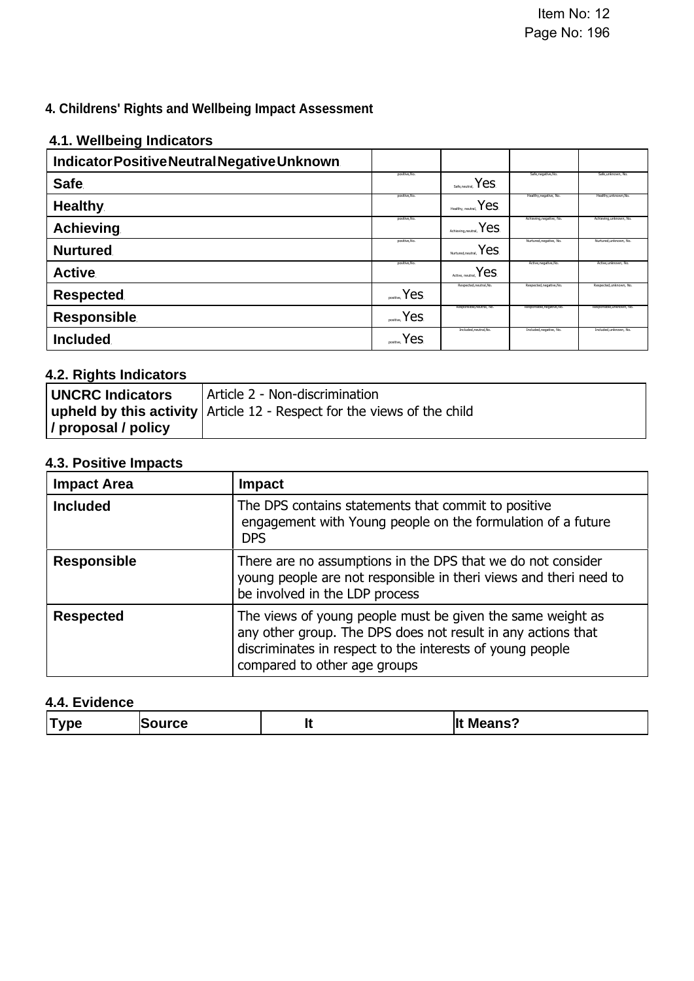## **4. Childrens' Rights and Wellbeing Impact Assessment**

## **4.1. Wellbeing Indicators**

| Indicator Positive Neutral Negative Unknown |                     |                                            |                            |                         |
|---------------------------------------------|---------------------|--------------------------------------------|----------------------------|-------------------------|
| Safe                                        | positive, No.       | $S$ Safe, neutral, $Yes$                   | Safe, negative, No.        | Safe.unknown, No.       |
| <b>Healthy</b>                              | positive.No.        | $H_{\text{Hedthy, neutral}}$ $\text{Yes.}$ | Healthy, negative, No.     | Healthy.unknown.No.     |
| <b>Achieving</b>                            | positive.No.        | Yes<br>Achieving, neutral.                 | Achieving, negative, No.   | Achieving.unknown. No   |
| <b>Nurtured</b>                             | positive.No.        | $N_{\text{Nurtured},\text{neutral}}$ Yes   | Nurtured, negative, No.    | Nurtured.unknown. No    |
| <b>Active</b>                               | positive.No.        | $_{\text{Active, neutral}}$ $\text{Yes.}$  | Active.negative.No.        | Active, unknown, No.    |
| <b>Respected</b>                            | $P$ positive, $Yes$ | Respected.neutral.No.                      | Respected, negative, No.   | Respected.unknown. No.  |
| <b>Responsible</b>                          | $P$ positive, $Yes$ | Responsible.neutral. No.                   | Responsible, negative, No. | Responsible.unknown. No |
| <b>Included</b>                             | positive, Yes.      | Included.neutral.No.                       | Included.negative, No.     | Included.unknown. No.   |

## **4.2. Rights Indicators**

| <b>UNCRC Indicators</b> | Article 2 - Non-discrimination                                            |
|-------------------------|---------------------------------------------------------------------------|
|                         | upheld by this activity   Article 12 - Respect for the views of the child |
| / proposal / policy     |                                                                           |

## **4.3. Positive Impacts**

| <b>Impact Area</b> | <b>Impact</b>                                                                                                                                                                                                           |
|--------------------|-------------------------------------------------------------------------------------------------------------------------------------------------------------------------------------------------------------------------|
| <b>Included</b>    | The DPS contains statements that commit to positive<br>engagement with Young people on the formulation of a future<br><b>DPS</b>                                                                                        |
| <b>Responsible</b> | There are no assumptions in the DPS that we do not consider<br>young people are not responsible in theri views and theri need to<br>be involved in the LDP process                                                      |
| <b>Respected</b>   | The views of young people must be given the same weight as<br>any other group. The DPS does not result in any actions that<br>discriminates in respect to the interests of young people<br>compared to other age groups |

## **4.4. Evidence**

| <b>Type</b> | Source | . . | .<br>llt<br><b>Means?</b> |
|-------------|--------|-----|---------------------------|
|             |        |     |                           |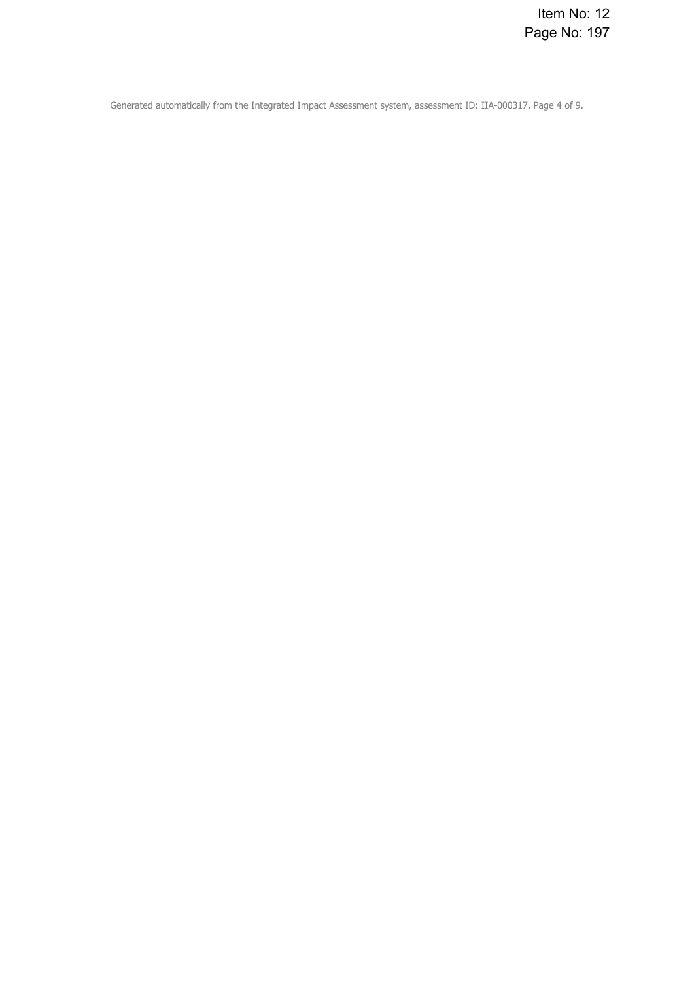Generated automatically from the Integrated Impact Assessment system, assessment ID: IIA-000317. Page 4 of 9.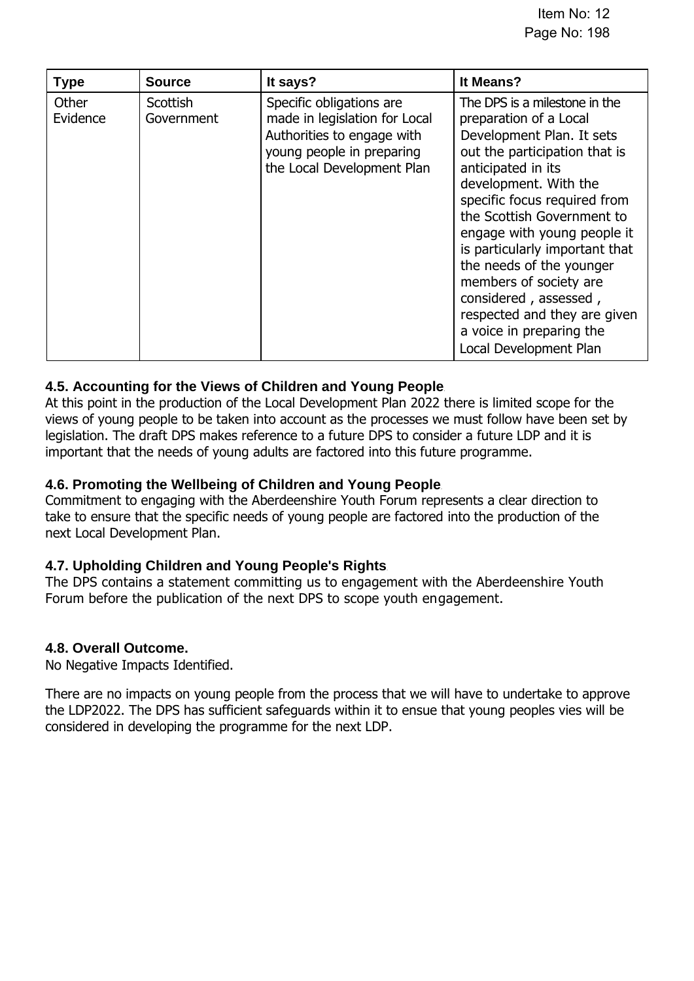| <b>Type</b>       | <b>Source</b>          | It says?                                                                                                                                           | It Means?                                                                                                                                                                                                                                                                                                                                                                                                                                                                |
|-------------------|------------------------|----------------------------------------------------------------------------------------------------------------------------------------------------|--------------------------------------------------------------------------------------------------------------------------------------------------------------------------------------------------------------------------------------------------------------------------------------------------------------------------------------------------------------------------------------------------------------------------------------------------------------------------|
| Other<br>Evidence | Scottish<br>Government | Specific obligations are<br>made in legislation for Local<br>Authorities to engage with<br>young people in preparing<br>the Local Development Plan | The DPS is a milestone in the<br>preparation of a Local<br>Development Plan. It sets<br>out the participation that is<br>anticipated in its<br>development. With the<br>specific focus required from<br>the Scottish Government to<br>engage with young people it<br>is particularly important that<br>the needs of the younger<br>members of society are<br>considered, assessed,<br>respected and they are given<br>a voice in preparing the<br>Local Development Plan |

## **4.5. Accounting for the Views of Children and Young People.**

At this point in the production of the Local Development Plan 2022 there is limited scope for the views of young people to be taken into account as the processes we must follow have been set by legislation. The draft DPS makes reference to a future DPS to consider a future LDP and it is important that the needs of young adults are factored into this future programme.

## **4.6. Promoting the Wellbeing of Children and Young People.**

Commitment to engaging with the Aberdeenshire Youth Forum represents a clear direction to take to ensure that the specific needs of young people are factored into the production of the next Local Development Plan.

## **4.7. Upholding Children and Young People's Rights.**

The DPS contains a statement committing us to engagement with the Aberdeenshire Youth Forum before the publication of the next DPS to scope youth engagement.

## **4.8. Overall Outcome.**

No Negative Impacts Identified.

There are no impacts on young people from the process that we will have to undertake to approve the LDP2022. The DPS has sufficient safeguards within it to ensue that young peoples vies will be considered in developing the programme for the next LDP.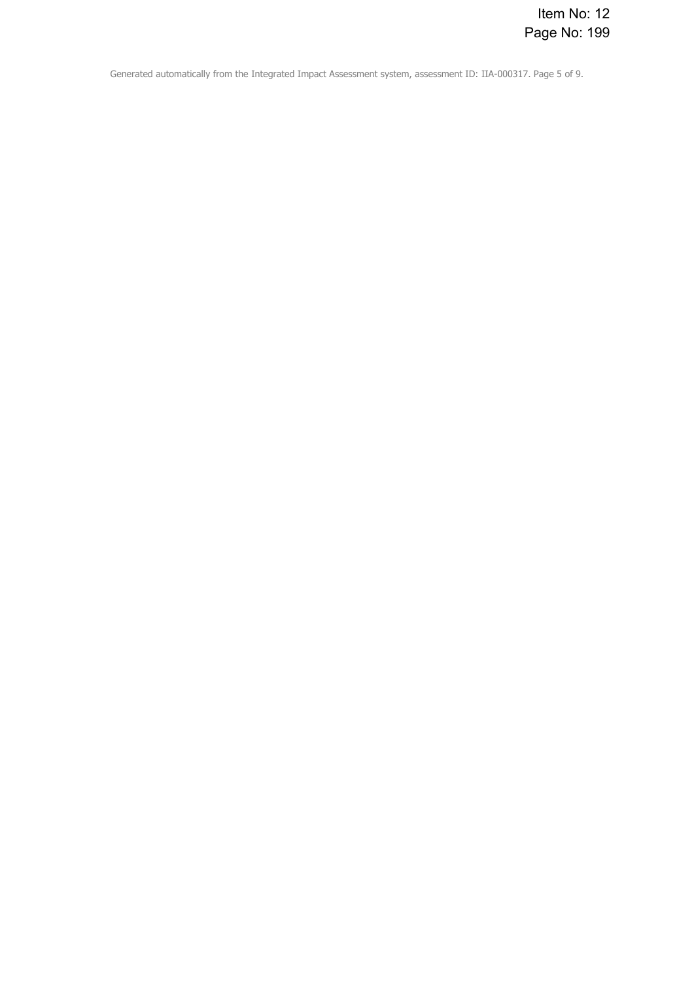Generated automatically from the Integrated Impact Assessment system, assessment ID: IIA-000317. Page 5 of 9.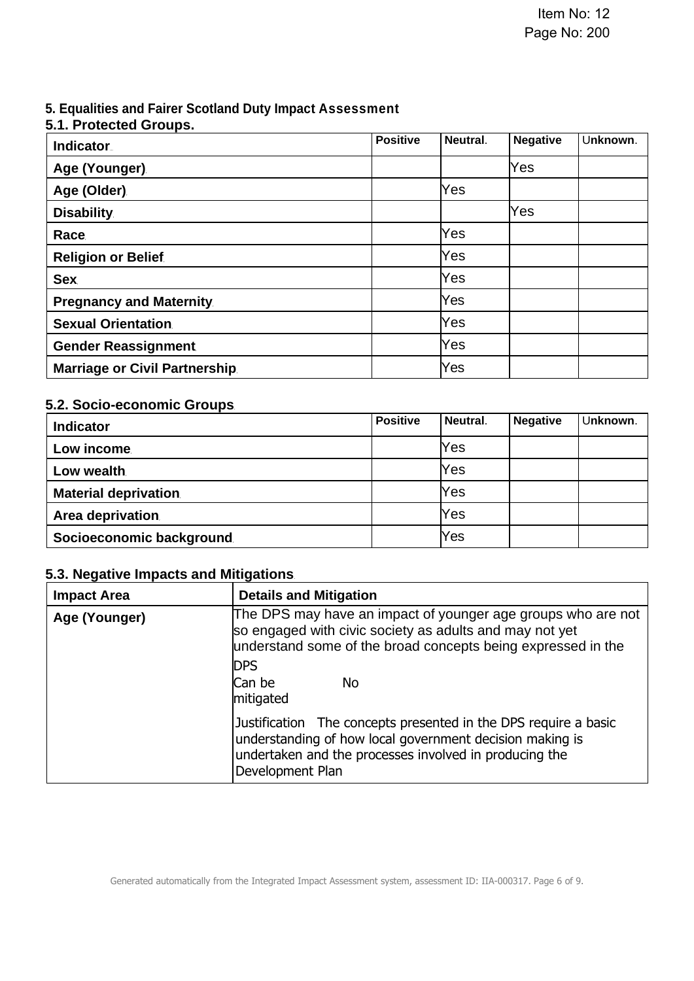## **5. Equalities and Fairer Scotland Duty Impact Assessment**

## **5.1. Protected Groups.**

| <b>Indicator</b>               | <b>Positive</b> | Neutral. | <b>Negative</b> | Unknown. |
|--------------------------------|-----------------|----------|-----------------|----------|
| Age (Younger)                  |                 |          | Yes             |          |
| Age (Older)                    |                 | Yes      |                 |          |
| <b>Disability</b>              |                 |          | Yes             |          |
| Race                           |                 | Yes      |                 |          |
| <b>Religion or Belief</b>      |                 | Yes      |                 |          |
| <b>Sex</b>                     |                 | Yes      |                 |          |
| <b>Pregnancy and Maternity</b> |                 | Yes      |                 |          |
| <b>Sexual Orientation</b>      |                 | Yes      |                 |          |
| <b>Gender Reassignment</b>     |                 | Yes      |                 |          |
| Marriage or Civil Partnership  |                 | Yes      |                 |          |

## **5.2. Socio-economic Groups.**

| <b>Indicator</b>            | <b>Positive</b> | Neutral. | <b>Negative</b> | Unknown. |
|-----------------------------|-----------------|----------|-----------------|----------|
| Low income                  |                 | Yes      |                 |          |
| Low wealth                  |                 | Yes      |                 |          |
| <b>Material deprivation</b> |                 | Yes      |                 |          |
| Area deprivation            |                 | Yes      |                 |          |
| Socioeconomic background    |                 | Yes      |                 |          |

## **5.3. Negative Impacts and Mitigations.**

| <b>Impact Area</b> | <b>Details and Mitigation</b>                                                                                                                                                                             |  |
|--------------------|-----------------------------------------------------------------------------------------------------------------------------------------------------------------------------------------------------------|--|
| Age (Younger)      | The DPS may have an impact of younger age groups who are not<br>so engaged with civic society as adults and may not yet<br>understand some of the broad concepts being expressed in the                   |  |
|                    | <b>DPS</b><br>Can be<br>No<br>mitigated                                                                                                                                                                   |  |
|                    | Justification The concepts presented in the DPS require a basic<br>understanding of how local government decision making is<br>undertaken and the processes involved in producing the<br>Development Plan |  |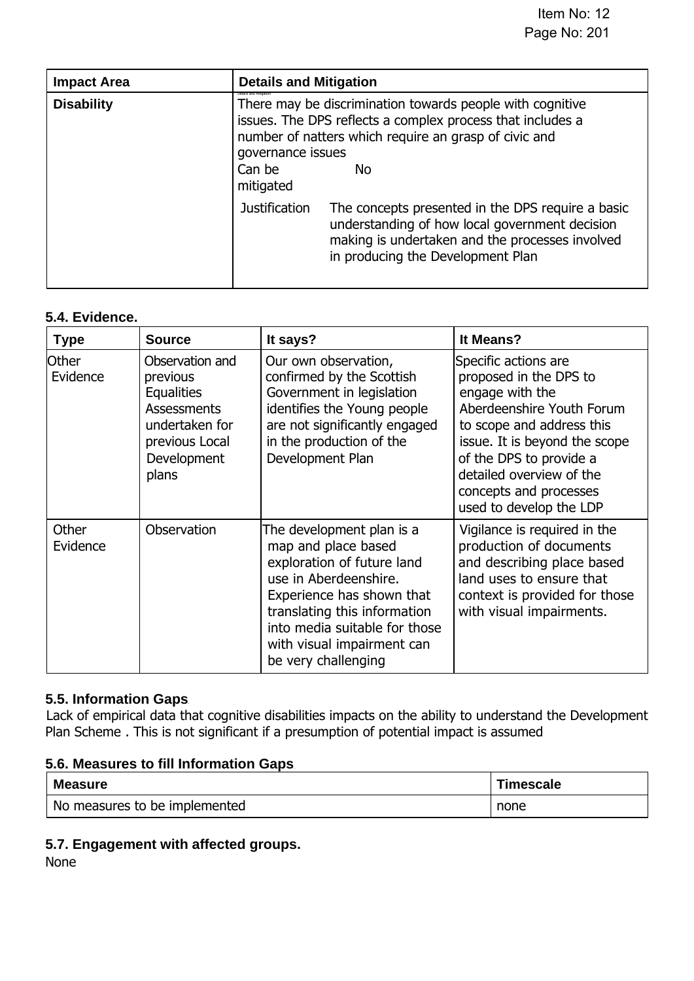| <b>Impact Area</b> | <b>Details and Mitigation</b>                                                                                                                                                                                                       |  |  |
|--------------------|-------------------------------------------------------------------------------------------------------------------------------------------------------------------------------------------------------------------------------------|--|--|
| <b>Disability</b>  | There may be discrimination towards people with cognitive<br>issues. The DPS reflects a complex process that includes a<br>number of natters which require an grasp of civic and<br>governance issues<br>Can be<br>No.<br>mitigated |  |  |
|                    | <b>Justification</b><br>The concepts presented in the DPS require a basic<br>understanding of how local government decision<br>making is undertaken and the processes involved<br>in producing the Development Plan                 |  |  |

## **5.4. Evidence.**

| <b>Type</b>              | <b>Source</b>                                                                                                                      | It says?                                                                                                                                                                                                                                                   | It Means?                                                                                                                                                                                                                                                                |
|--------------------------|------------------------------------------------------------------------------------------------------------------------------------|------------------------------------------------------------------------------------------------------------------------------------------------------------------------------------------------------------------------------------------------------------|--------------------------------------------------------------------------------------------------------------------------------------------------------------------------------------------------------------------------------------------------------------------------|
| <b>Other</b><br>Evidence | Observation and<br>previous<br><b>Equalities</b><br><b>Assessments</b><br>undertaken for<br>previous Local<br>Development<br>plans | Our own observation,<br>confirmed by the Scottish<br>Government in legislation<br>identifies the Young people<br>are not significantly engaged<br>in the production of the<br>Development Plan                                                             | Specific actions are<br>proposed in the DPS to<br>engage with the<br>Aberdeenshire Youth Forum<br>to scope and address this<br>issue. It is beyond the scope<br>of the DPS to provide a<br>detailed overview of the<br>concepts and processes<br>used to develop the LDP |
| Other<br>Evidence        | Observation                                                                                                                        | The development plan is a<br>map and place based<br>exploration of future land<br>use in Aberdeenshire.<br>Experience has shown that<br>translating this information<br>into media suitable for those<br>with visual impairment can<br>be very challenging | Vigilance is required in the<br>production of documents<br>and describing place based<br>land uses to ensure that<br>context is provided for those<br>with visual impairments.                                                                                           |

## **5.5. Information Gaps.**

Lack of empirical data that cognitive disabilities impacts on the ability to understand the Development Plan Scheme . This is not significant if a presumption of potential impact is assumed

## **5.6. Measures to fill Information Gaps.**

| <b>Measure</b>                | <b>Timescale</b> |
|-------------------------------|------------------|
| No measures to be implemented | none             |

## **5.7. Engagement with affected groups.**

None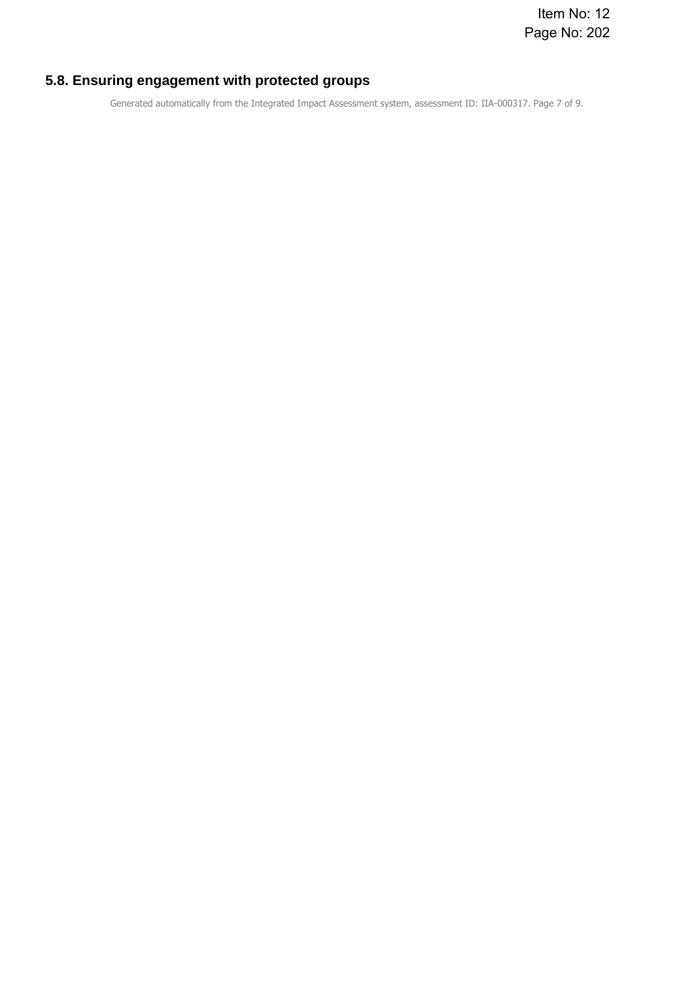## **5.8. Ensuring engagement with protected groups.**

Generated automatically from the Integrated Impact Assessment system, assessment ID: IIA-000317. Page 7 of 9.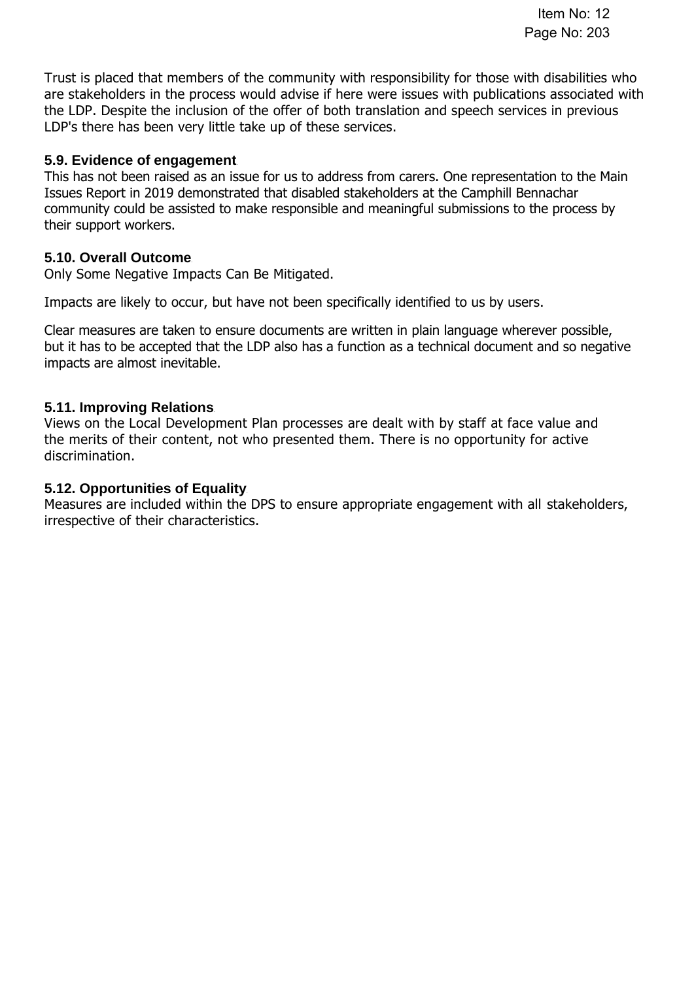Trust is placed that members of the community with responsibility for those with disabilities who are stakeholders in the process would advise if here were issues with publications associated with the LDP. Despite the inclusion of the offer of both translation and speech services in previous LDP's there has been very little take up of these services.

## **5.9. Evidence of engagement.**

This has not been raised as an issue for us to address from carers. One representation to the Main Issues Report in 2019 demonstrated that disabled stakeholders at the Camphill Bennachar community could be assisted to make responsible and meaningful submissions to the process by their support workers.

## **5.10. Overall Outcome.**

Only Some Negative Impacts Can Be Mitigated.

Impacts are likely to occur, but have not been specifically identified to us by users.

Clear measures are taken to ensure documents are written in plain language wherever possible, but it has to be accepted that the LDP also has a function as a technical document and so negative impacts are almost inevitable.

## **5.11. Improving Relations.**

Views on the Local Development Plan processes are dealt with by staff at face value and the merits of their content, not who presented them. There is no opportunity for active discrimination.

#### **5.12. Opportunities of Equality.**

Measures are included within the DPS to ensure appropriate engagement with all stakeholders, irrespective of their characteristics.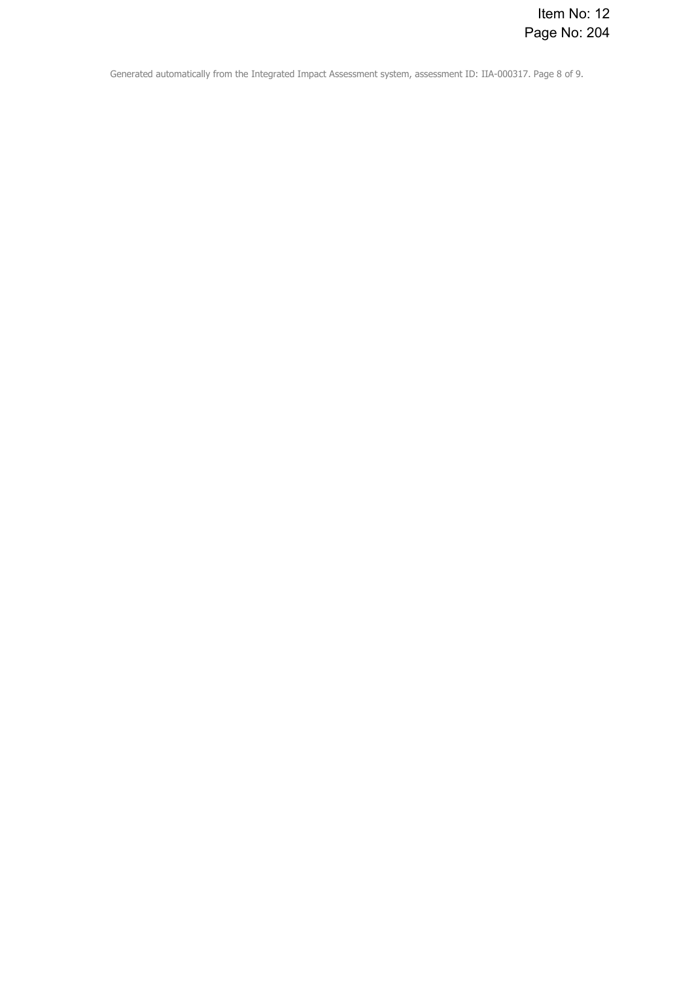Generated automatically from the Integrated Impact Assessment system, assessment ID: IIA-000317. Page 8 of 9.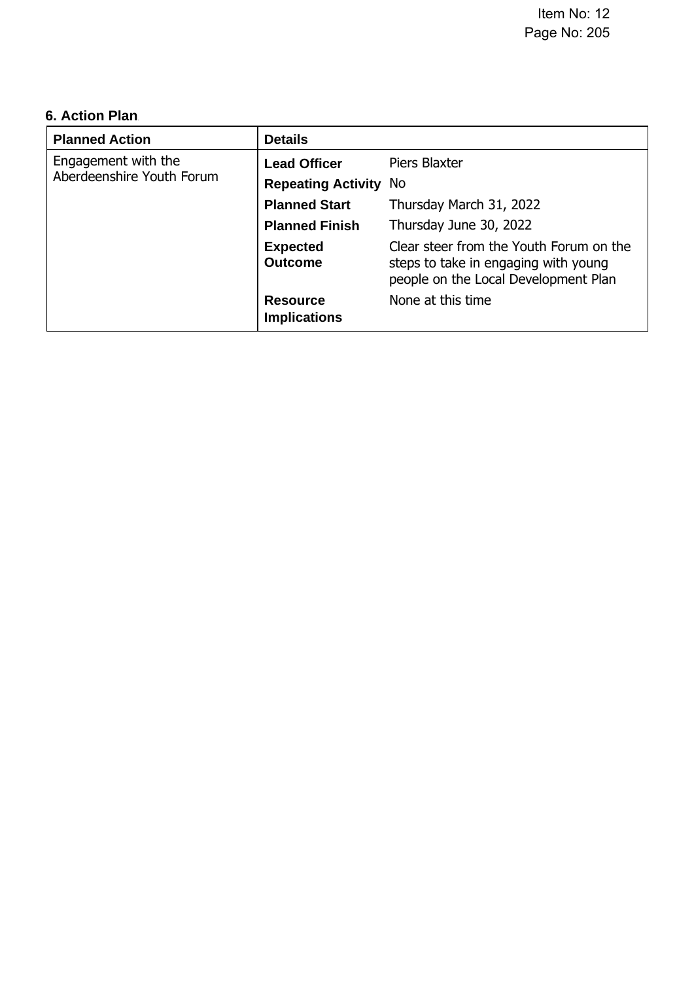## **6. Action Plan.**

| <b>Planned Action</b>                            | <b>Details</b>                         |                                                                                                                         |
|--------------------------------------------------|----------------------------------------|-------------------------------------------------------------------------------------------------------------------------|
| Engagement with the<br>Aberdeenshire Youth Forum | <b>Lead Officer</b>                    | Piers Blaxter                                                                                                           |
|                                                  | <b>Repeating Activity</b>              | No.                                                                                                                     |
|                                                  | <b>Planned Start</b>                   | Thursday March 31, 2022                                                                                                 |
|                                                  | <b>Planned Finish</b>                  | Thursday June 30, 2022                                                                                                  |
|                                                  | <b>Expected</b><br><b>Outcome</b>      | Clear steer from the Youth Forum on the<br>steps to take in engaging with young<br>people on the Local Development Plan |
|                                                  | <b>Resource</b><br><b>Implications</b> | None at this time.                                                                                                      |